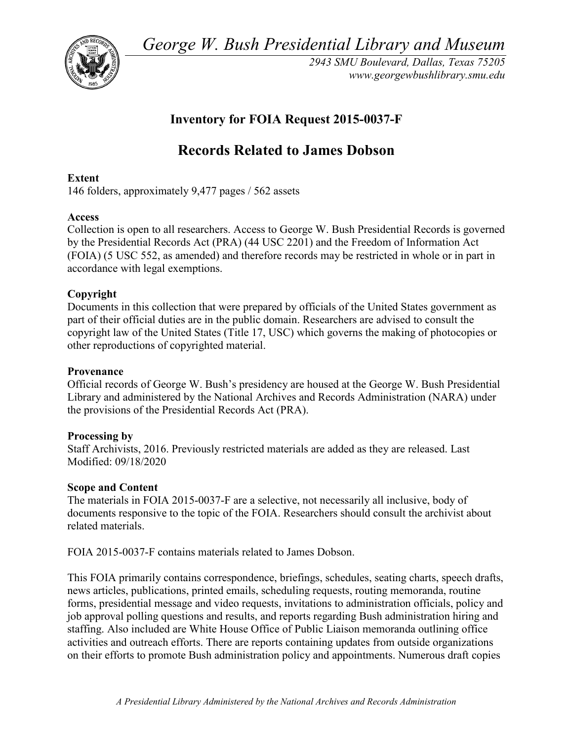*George W. Bush Presidential Library and Museum* 



*2943 SMU Boulevard, Dallas, Texas 75205 <www.georgewbushlibrary.smu.edu>*

## **Inventory for FOIA Request 2015-0037-F**

# **Records Related to James Dobson**

## **Extent**

146 folders, approximately 9,477 pages / 562 assets

## **Access**

 by the Presidential Records Act (PRA) (44 USC 2201) and the Freedom of Information Act Collection is open to all researchers. Access to George W. Bush Presidential Records is governed (FOIA) (5 USC 552, as amended) and therefore records may be restricted in whole or in part in accordance with legal exemptions.

## **Copyright**

 Documents in this collection that were prepared by officials of the United States government as part of their official duties are in the public domain. Researchers are advised to consult the copyright law of the United States (Title 17, USC) which governs the making of photocopies or other reproductions of copyrighted material.

## **Provenance**

 Official records of George W. Bush's presidency are housed at the George W. Bush Presidential Library and administered by the National Archives and Records Administration (NARA) under the provisions of the Presidential Records Act (PRA).

## **Processing by**

 Modified: 09/18/2020 Staff Archivists, 2016. Previously restricted materials are added as they are released. Last

## **Scope and Content**

The materials in FOIA 2015-0037-F are a selective, not necessarily all inclusive, body of documents responsive to the topic of the FOIA. Researchers should consult the archivist about related materials.

FOIA 2015-0037-F contains materials related to James Dobson.

 This FOIA primarily contains correspondence, briefings, schedules, seating charts, speech drafts, staffing. Also included are White House Office of Public Liaison memoranda outlining office activities and outreach efforts. There are reports containing updates from outside organizations on their efforts to promote Bush administration policy and appointments. Numerous draft copies news articles, publications, printed emails, scheduling requests, routing memoranda, routine forms, presidential message and video requests, invitations to administration officials, policy and job approval polling questions and results, and reports regarding Bush administration hiring and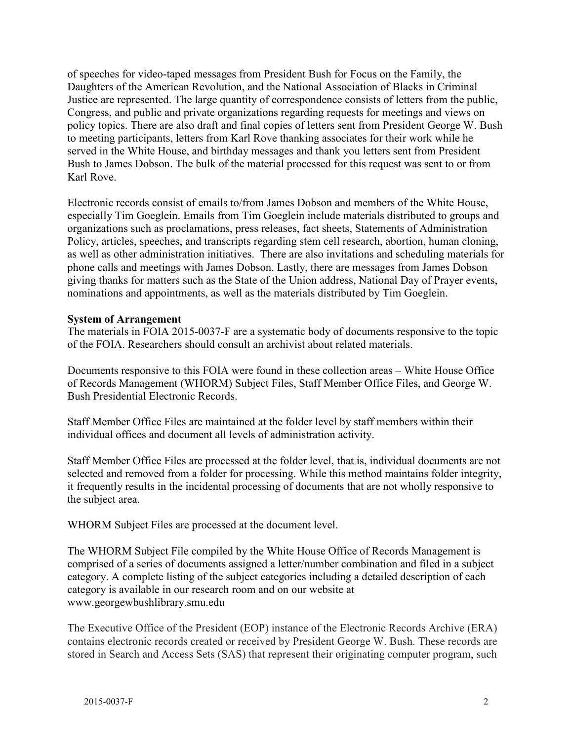policy topics. There are also draft and final copies of letters sent from President George W. Bush Karl Rove. of speeches for video-taped messages from President Bush for Focus on the Family, the Daughters of the American Revolution, and the National Association of Blacks in Criminal Justice are represented. The large quantity of correspondence consists of letters from the public, Congress, and public and private organizations regarding requests for meetings and views on to meeting participants, letters from Karl Rove thanking associates for their work while he served in the White House, and birthday messages and thank you letters sent from President Bush to James Dobson. The bulk of the material processed for this request was sent to or from

Karl Rove.<br>Electronic records consist of emails to/from James Dobson and members of the White House, especially Tim Goeglein. Emails from Tim Goeglein include materials distributed to groups and organizations such as proclamations, press releases, fact sheets, Statements of Administration Policy, articles, speeches, and transcripts regarding stem cell research, abortion, human cloning, as well as other administration initiatives. There are also invitations and scheduling materials for phone calls and meetings with James Dobson. Lastly, there are messages from James Dobson giving thanks for matters such as the State of the Union address, National Day of Prayer events, nominations and appointments, as well as the materials distributed by Tim Goeglein.

## **System of Arrangement**

 The materials in FOIA 2015-0037-F are a systematic body of documents responsive to the topic of the FOIA. Researchers should consult an archivist about related materials.

Documents responsive to this FOIA were found in these collection areas – White House Office of Records Management (WHORM) Subject Files, Staff Member Office Files, and George W. Bush Presidential Electronic Records.

Staff Member Office Files are maintained at the folder level by staff members within their individual offices and document all levels of administration activity.

Staff Member Office Files are processed at the folder level, that is, individual documents are not selected and removed from a folder for processing. While this method maintains folder integrity, it frequently results in the incidental processing of documents that are not wholly responsive to the subject area.

WHORM Subject Files are processed at the document level.

The WHORM Subject File compiled by the White House Office of Records Management is comprised of a series of documents assigned a letter/number combination and filed in a subject category. A complete listing of the subject categories including a detailed description of each category is available in our research room and on our website at <www.georgewbushlibrary.smu.edu>

 The Executive Office of the President (EOP) instance of the Electronic Records Archive (ERA) contains electronic records created or received by President George W. Bush. These records are stored in Search and Access Sets (SAS) that represent their originating computer program, such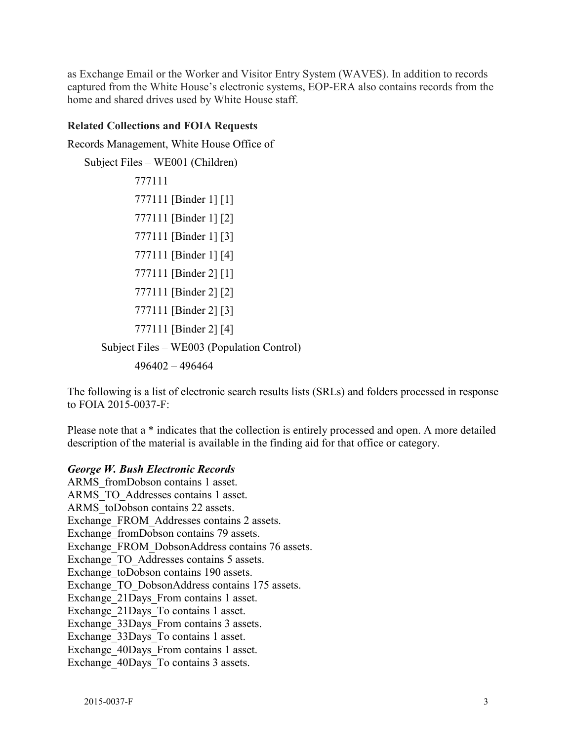as Exchange Email or the Worker and Visitor Entry System (WAVES). In addition to records captured from the White House's electronic systems, EOP-ERA also contains records from the home and shared drives used by White House staff.

#### **Related Collections and FOIA Requests**

Records Management, White House Office of

```
 
Subject Files – WE003 (Population Control) 

496402 – 496464 
Subject Files – WE001 (Children) 
           777111 
           777111 [Binder 1] [1] 
           777111 [Binder 1] [2] 
           777111 [Binder 1] [3] 
           777111 [Binder 1] [4] 
           777111 [Binder 2] [1] 
           777111 [Binder 2] [2] 
           777111 [Binder 2] [3] 
           777111 [Binder 2] [4]
```
 The following is a list of electronic search results lists (SRLs) and folders processed in response to FOIA 2015-0037-F:

 description of the material is available in the finding aid for that office or category. Please note that a \* indicates that the collection is entirely processed and open. A more detailed

#### *George W. Bush Electronic Records*

ARMS\_fromDobson contains 1 asset. ARMS\_TO\_Addresses contains 1 asset. ARMS toDobson contains 22 assets. Exchange\_FROM\_Addresses contains 2 assets. Exchange fromDobson contains 79 assets. Exchange\_FROM\_DobsonAddress contains 76 assets. Exchange TO Addresses contains 5 assets. Exchange toDobson contains 190 assets. Exchange TO DobsonAddress contains 175 assets. Exchange 21Days From contains 1 asset. Exchange\_21Days\_To contains 1 asset. Exchange 33Days From contains 3 assets. Exchange 33Days To contains 1 asset. Exchange 40Days From contains 1 asset. Exchange 40Days To contains 3 assets.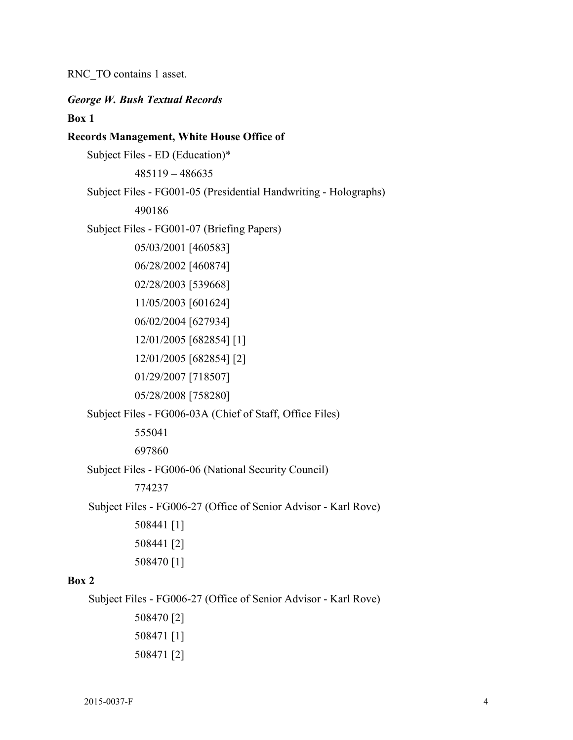RNC\_TO contains 1 asset.

## *George W. Bush Textual Records*  **Box 1 Records Management, White House Office of**  Subject Files - ED (Education)\* 485119 – 486635

Subject Files - FG001-05 (Presidential Handwriting - Holographs)

490186

Subject Files - FG001-07 (Briefing Papers)

05/03/2001 [460583] 06/28/2002 [460874] 02/28/2003 [539668] 11/05/2003 [601624] 06/02/2004 [627934] 12/01/2005 [682854] [1] 12/01/2005 [682854] [2] 01/29/2007 [718507]

05/28/2008 [758280]

Subject Files - FG006-03A (Chief of Staff, Office Files)

555041

697860

Subject Files - FG006-06 (National Security Council)

774237

Subject Files - FG006-27 (Office of Senior Advisor - Karl Rove)

508441 [1] 508441 [2] 508470 [1]

### **Box 2**

Subject Files - FG006-27 (Office of Senior Advisor - Karl Rove)

508470 [2] 508471 [1] 508471 [2]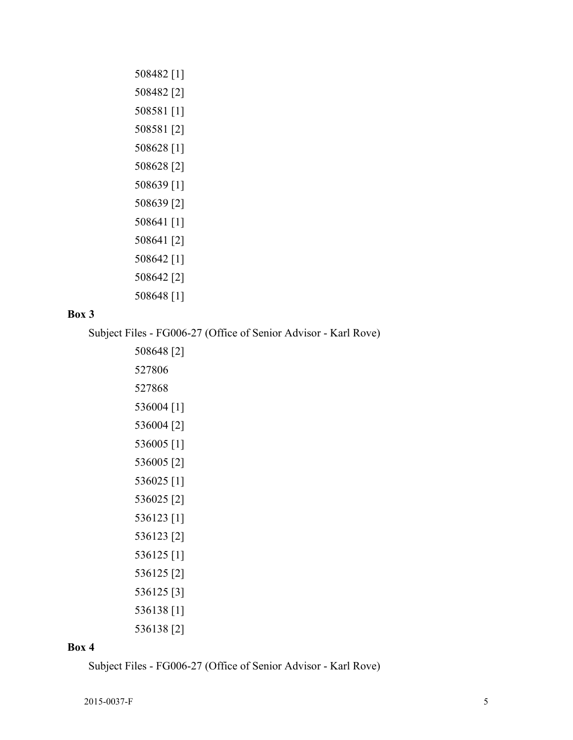508482 [1] 508482 [2] 508581 [1] 508581 [2] 508628 [1] 508628 [2] 508639 [1] 508639 [2] 508641 [1] 508641 [2] 508642 [1] 508642 [2] 508648 [1]

## **Box 3**

Subject Files - FG006-27 (Office of Senior Advisor - Karl Rove)

508648 [2] 527806 527868 536004 [1] 536004 [2] 536005 [1] 536005 [2] 536025 [1] 536025 [2] 536123 [1] 536123 [2] 536125 [1] 536125 [2] 536125 [3] 536138 [1] 536138 [2]

#### **Box 4**

Subject Files - FG006-27 (Office of Senior Advisor - Karl Rove)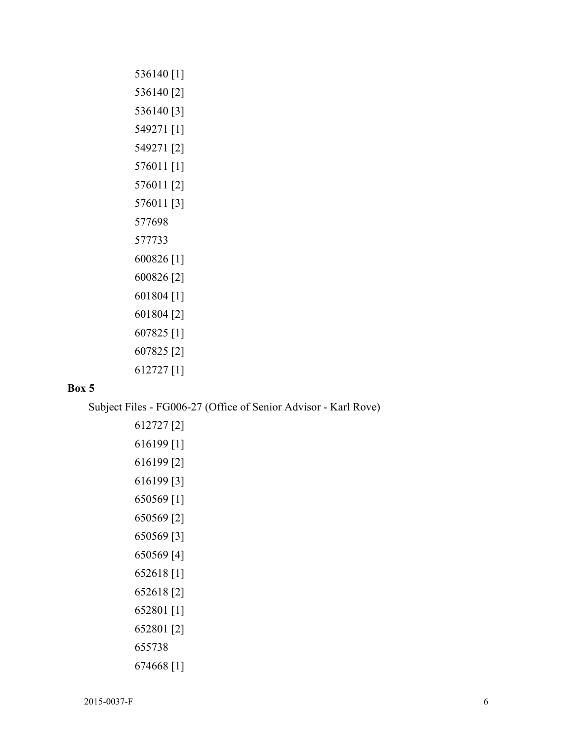536140 [1] 536140 [2] 536140 [3] 549271 [1] 549271 [2] 576011 [1] 576011 [2] 576011 [3] 577698 577733 600826 [1] 600826 [2] 601804 [1] 601804 [2] 607825 [1] 607825 [2] 612727 [1]

## **Box 5**

Subject Files - FG006-27 (Office of Senior Advisor - Karl Rove)

```
612727 [2] 
616199 [1] 
616199 [2] 
616199 [3] 
650569 [1] 
650569 [2] 
650569 [3] 
650569 [4] 
652618 [1] 
652618 [2] 
652801 [1] 
652801 [2] 
655738 
674668 [1]
```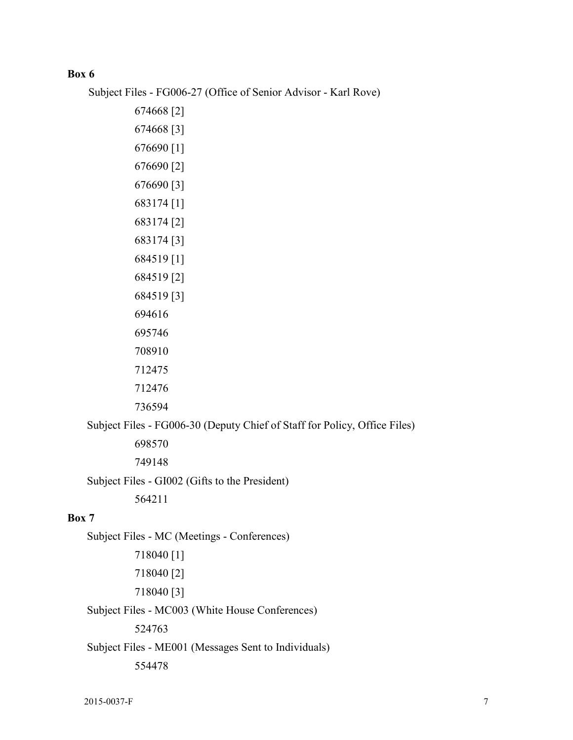## **Box 6**

Subject Files - FG006-27 (Office of Senior Advisor - Karl Rove)

Subject Files - FG006-30 (Deputy Chief of Staff for Policy, Office Files)

698570

749148

Subject Files - GI002 (Gifts to the President)

564211

## **Box 7**

Subject Files - MC (Meetings - Conferences) 718040 [1] 718040 [2] 718040 [3]

Subject Files - MC003 (White House Conferences)

524763

Subject Files - ME001 (Messages Sent to Individuals)

554478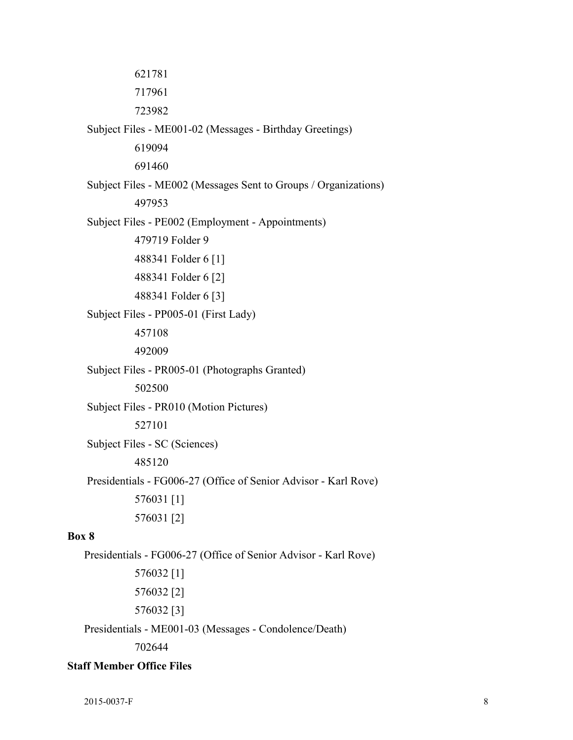Subject Files - PE002 (Employment - Appointments) Subject Files - PR005-01 (Photographs Granted) Presidentials - FG006-27 (Office of Senior Advisor - Karl Rove) Presidentials - FG006-27 (Office of Senior Advisor - Karl Rove) 621781 717961 723982 Subject Files - ME001-02 (Messages - Birthday Greetings) 619094 691460 Subject Files - ME002 (Messages Sent to Groups / Organizations) 497953 479719 Folder 9 488341 Folder 6 [1] 488341 Folder 6 [2] 488341 Folder 6 [3] Subject Files - PP005-01 (First Lady) 457108 492009 502500 Subject Files - PR010 (Motion Pictures) 527101 Subject Files - SC (Sciences) 485120 576031 [1] 576031 [2] **Box 8**  576032 [1] 576032 [2] 576032 [3] Presidentials - ME001-03 (Messages - Condolence/Death)

702644

## **Staff Member Office Files**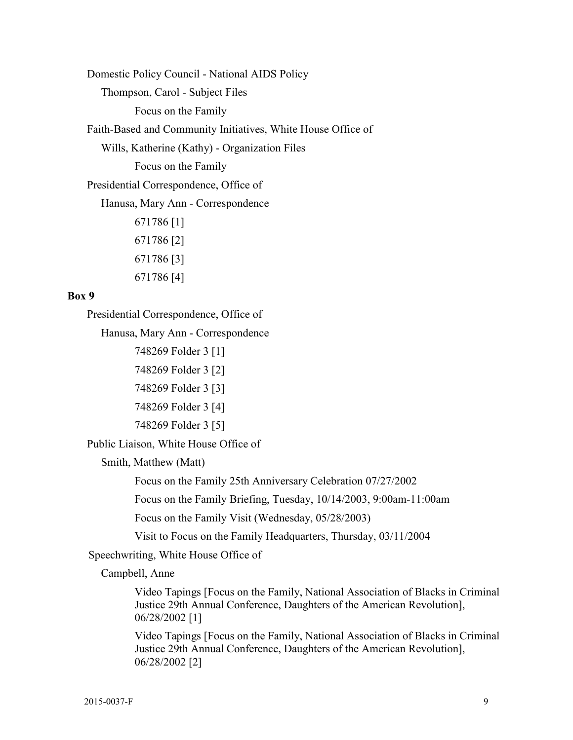Domestic Policy Council - National AIDS Policy

Thompson, Carol - Subject Files

Focus on the Family

Faith-Based and Community Initiatives, White House Office of

Wills, Katherine (Kathy) - Organization Files

Focus on the Family

Presidential Correspondence, Office of

Hanusa, Mary Ann - Correspondence

671786 [1] 671786 [2] 671786 [3] 671786 [4]

#### **Box 9**

Presidential Correspondence, Office of

Hanusa, Mary Ann - Correspondence

748269 Folder 3 [1] 748269 Folder 3 [2] 748269 Folder 3 [3] 748269 Folder 3 [4] 748269 Folder 3 [5]

Public Liaison, White House Office of

Smith, Matthew (Matt)

Focus on the Family 25th Anniversary Celebration 07/27/2002

Focus on the Family Briefing, Tuesday, 10/14/2003, 9:00am-11:00am

Focus on the Family Visit (Wednesday, 05/28/2003)

Visit to Focus on the Family Headquarters, Thursday, 03/11/2004

Speechwriting, White House Office of

Campbell, Anne

Video Tapings [Focus on the Family, National Association of Blacks in Criminal Justice 29th Annual Conference, Daughters of the American Revolution], 06/28/2002 [1]

Video Tapings [Focus on the Family, National Association of Blacks in Criminal Justice 29th Annual Conference, Daughters of the American Revolution], 06/28/2002 [2]